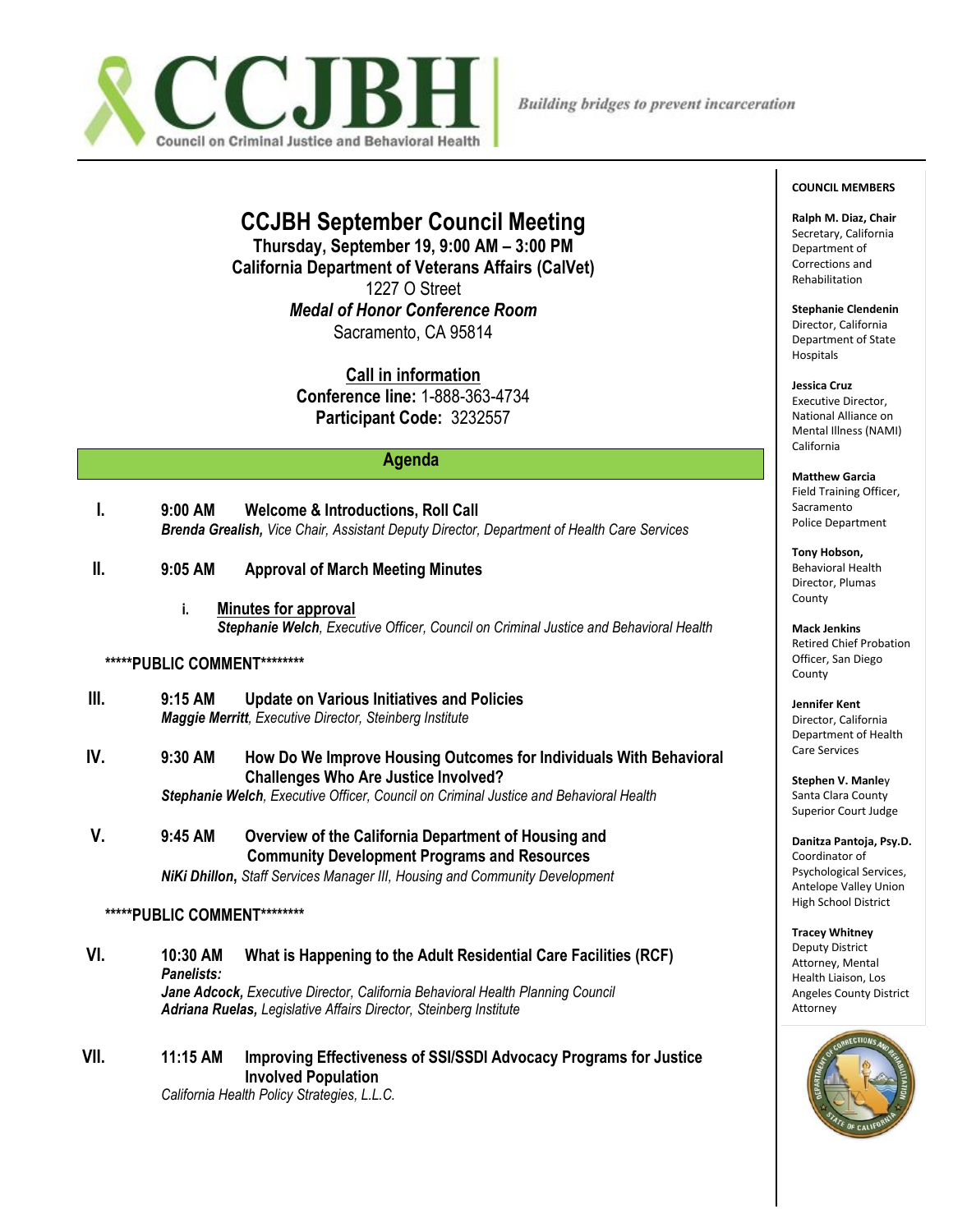

# **CCJBH September Council Meeting**

**Thursday, September 19, 9:00 AM – 3:00 PM California Department of Veterans Affairs (CalVet)** 1227 O Street *Medal of Honor Conference Room* Sacramento, CA 95814

> **Call in information Conference line:** 1-888-363-4734 **Participant Code:** 3232557

## **Agenda**

- **I. 9:00 AM Welcome & Introductions, Roll Call** *Brenda Grealish, Vice Chair, Assistant Deputy Director, Department of Health Care Services*
- **II. 9:05 AM Approval of March Meeting Minutes** 
	- **i. Minutes for approval** *Stephanie Welch, Executive Officer, Council on Criminal Justice and Behavioral Health*

#### **\*\*\*\*\*PUBLIC COMMENT\*\*\*\*\*\*\*\***

- **III. 9:15 AM Update on Various Initiatives and Policies**  *Maggie Merritt, Executive Director, Steinberg Institute*
- **IV. 9:30 AM How Do We Improve Housing Outcomes for Individuals With Behavioral Challenges Who Are Justice Involved?**

*Stephanie Welch, Executive Officer, Council on Criminal Justice and Behavioral Health*

**V. 9:45 AM Overview of the California Department of Housing and Community Development Programs and Resources**  *NiKi Dhillon***,** *Staff Services Manager III, Housing and Community Development*

#### **\*\*\*\*\*PUBLIC COMMENT\*\*\*\*\*\*\*\***

**VI. 10:30 AM What is Happening to the Adult Residential Care Facilities (RCF)** *Panelists: Jane Adcock, Executive Director, California Behavioral Health Planning Council Adriana Ruelas, Legislative Affairs Director, Steinberg Institute*

**VII. 11:15 AM Improving Effectiveness of SSI/SSDI Advocacy Programs for Justice Involved Population** 

*California Health Policy Strategies, L.L.C.*

#### **COUNCIL MEMBERS**

**Ralph M. Diaz, Chair** Secretary, California Department of Corrections and Rehabilitation

**Stephanie Clendenin** Director, California Department of State **Hospitals** 

**Jessica Cruz** Executive Director, National Alliance on Mental Illness (NAMI) California

**Matthew Garcia** Field Training Officer, Sacramento Police Department

**Tony Hobson,** Behavioral Health Director, Plumas County

**Mack Jenkins** Retired Chief Probation Officer, San Diego County

**Jennifer Kent** Director, California Department of Health Care Services

**Stephen V. Manle**y Santa Clara County Superior Court Judge

**Danitza Pantoja, Psy.D.** Coordinator of Psychological Services, Antelope Valley Union High School District

**Tracey Whitney** Deputy District Attorney, Mental Health Liaison, Los Angeles County District Attorney